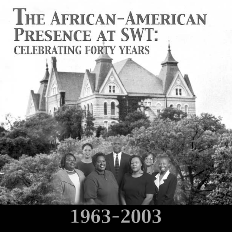# **THE AFRICAN-AMERICAN PRESENCE AT SWT: CELEBRATING FORTY YEARS**

# 1963-2003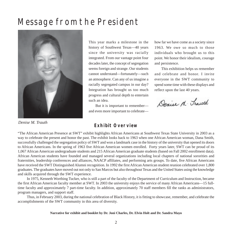### Message from the President



*Denise M. Trauth*

This year marks a milestone in the history of Southwest Texas—40 years since the university was racially integrated. From our vantage point four decades later, the concept of segregation seems foreign and strange. Our students cannot understand—fortunately—such an atmosphere. Can any of us imagine a racially segregated campus in our day? Integration has brought us too much progress and cultural depth to entertain such an idea.

But it is important to remember and even more important to celebratehow far we have come as a society since 1963. We owe so much to those individuals who brought us to this point. We honor their idealism, courage and persistence.

This exhibition helps us remember and celebrate and honor. I invite everyone in the SWT community to spend some time with these displays and reflect upon the last 40 years.

Denise N. Traith

#### **Exhibit Overview**

"The African American Presence at SWT" exhibit highlights African Americans at Southwest Texas State University in 2003 as a way to celebrate the present and honor the past. The exhibit looks back to 1963 when one African American woman, Dana Smith, successfully challenged the segregation policy of SWT and won a landmark case in the history of the university that opened its doors to African Americans. In the spring of 1963 five African American women enrolled. Forty years later, SWT can be proud of its 1,067 African American undergraduate students and 215 African American graduate students (based on Fall 2002 enrollment data). African American students have founded and managed several organizations including local chapters of national sororities and fraternities, leadership conferences and alliances, NAACP affiliates, and performing arts groups. To date, five African Americans have received the SWT Distinguished Alumni recognition. In 1992 the first African American student reunion celebrated over 1,800 graduates. The graduates have moved out not only to San Marcos but also throughout Texas and the United States using the knowledge and skills acquired through the SWT experience.

In 1975, Kenneth Worthing Tucker, who is still a part of the faculty of the Department of Curriculum and Instruction, became the first African American faculty member at SWT. In 2003 the university enjoys the service of many African Americans—15 fulltime faculty and approximately 7 part-time faculty. In addition, approximately 70 staff members fill the ranks as administrators, program managers, and support staff.

Thus, in February 2003, during the national celebration of Black History, it is fitting to showcase, remember, and celebrate the accomplishments of the SWT community in this area of diversity.

#### **Narrative for exhibit and booklet by Dr. Joni Charles, Dr. Elvin Holt and Dr. Sandra Mayo**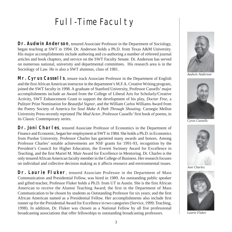### Full-Time Faculty

**Dr. Audwin Anderson**, tenured Associate Professor in the Department of Sociology, began teaching at SWT in 1994. Dr. Anderson holds a Ph.D. from Texas A&M University. His major accomplishments include authoring and co-authoring a number of refereed journal articles and book chapters, and service on the SWT Faculty Senate. Dr. Anderson has served on numerous national, university and departmental committees. His research area is in the Sociology of Law. He is also a SWT alumnus, class of 1981.

**Mr. Cyrus Cassells**, tenure track Associate Professor in the Department of English and the first African American instructor in the department's M.F.A. Creative Writing program, joined the SWT faculty in 1998. A graduate of Stanford University, Professor Cassells' major accomplishments include an Award from the College of Liberal Arts for Scholarly/Creative Activity, SWT Enhancement Grant to support the development of his play, *Doctor Free*, a Pulitzer Prize Nomination for *Beautiful Signor*, and the William Carlos Williams Award from the Poetry Society of America for *Soul Make A Path Through Shouting*. Carnegie Mellon University Press recently reprinted *The Mud Actor*, Professor Cassells' first book of poems, in its Classic Contemporary series.

**Dr. Joni Charles**, tenured Associate Professor of Economics in the Department of Finance and Economic, began her employment at SWT in 1984. She holds a Ph.D. in Economics from Purdue University. Professor Charles has garnered many awards and honors. Among Professor Charles' notable achievements are NSF grants for 1991-93, recognition by the President's Council for Higher Education, the Everett Swinney Award for Excellence in Teaching, and the first Mariel M. Muir Award for Excellence in Mentoring. Dr. Charles is the only tenured African American faculty member in the College of Business. Her research focuses on individual and collective decision making as it affects resource and environmental issues.

Dr. Laurie Fluker, tenured Associate Professor in the Department of Mass Communication and Presidential Fellow, was hired in 1989. An outstanding public speaker and gifted teacher, Professor Fluker holds a Ph.D. from UT in Austin. She is the first African American to receive the Alumni Teaching Award; the first in the Department of Mass Communication to be chosen by students as Outstanding Professor for six years; and the first African American named as a Presidential Fellow. Her accomplishments also include first runner up for the Presidential Award for Excellence in two categories (Service, 1999; Teaching, 1998). In addition, Dr. Fluker was chosen as a National Fellow by all five professional broadcasting associations that offer fellowships to outstanding broadcasting professors.



*Audwin Anderson*



*Cyrus Cassells*



*Joni Charles*



*Laurie Fluker*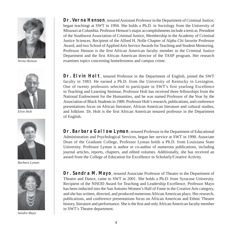

*Verna Henson*



*Elvin Holt*



*Barbara Lyman*



*Sandra Mayo*

**Dr. Verna Henson**, tenured Assistant Professor in the Department of Criminal Justice, began teachingt at SWT in 1994. She holds a Ph.D. in Sociology from the University of Missouri at Columbia. Professor Henson's major accomplishments include a term as President of the Southwest Association of Criminal Justice, Membership in the Academy of Criminal Justice Sciences, Recipient of the Alfred H. Nolle Chapter of Alpha Chi favorite Professor Award, and two School of Applied Arts Service Awards for Teaching and Student Mentoring. Professor Henson is the first African American faculty member in the Criminal Justice Department and the first African American director of the TASP program. Her research examines topics concerning homelessness and campus crime.

**Dr. Elvin Holt**, tenured Professor in the Department of English, joined the SWT faculty in 1983. He earned a Ph.D. from the University of Kentucky in Lexington. One of twenty professors selected to participate in SWT's first yearlong Excellence in Teaching and Learning Seminar, Professor Holt has received three fellowships from the National Endowment for the Humanities, and he was named Professor of the Year by the Association of Black Students in 1989. Professor Holt's research, publications, and conference presentations focus on African literature, African American literature and cultural studies, and folklore. Dr. Holt is the first African American tenured professor in the Department of English.

**Dr. Barbara Gallow Lyman**, tenured Professor in the Department of Educational Administration and Psychological Services, began her service at SWT in 1990. Associate Dean of the Graduate College, Professor Lyman holds a Ph.D. from Louisiana State University. Professor Lyman is author or co-author of numerous publications, including journal articles, reports, chapters, and edited volumes. Additionally, she has received an award from the College of Education for Excellence in Scholarly/Creative Activity.

**Dr. Sandra M. Mayo**, tenured Associate Professor of Theatre in the Department of Theatre and Dance, came to SWT in 2001. She holds a Ph.D. from Syracuse University. Recipient of the NISOD Award for Teaching and Leadership Excellence, Professor Mayo has been inducted into the San Antonio Women's Hall of Fame in the Creative Arts category, and she has written, directed, and produced numerous African American plays. Her research, publications, and conference presentations focus on African American and Ethnic Theatre history, literature and performance. She is the first and only African American faculty member in SWT's Theatre department.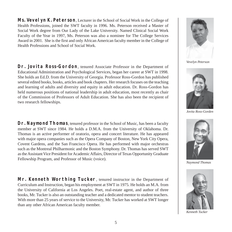**Ms. Vevelyn K. Peterson**, Lecturer in the School of Social Work in the College of Health Professions, joined the SWT faculty in 1996. Ms. Peterson received a Master of Social Work degree from Our Lady of the Lake University. Named Clinical Social Work Faculty of the Year in 1997, Ms. Peterson was also a nominee for The College Services Award in 2001. She is the first and only African American faculty member in the College of Health Professions and School of Social Work.

Dr. Jovita Ross-Gordon, tenured Associate Professor in the Department of Educational Administration and Psychological Services, began her career at SWT in 1998. She holds an Ed.D. from the University of Georgia. Professor Ross-Gordon has published several edited books, books, articles and book chapters. Her research focuses on the teaching and learning of adults and diversity and equity in adult education. Dr. Ross-Gordon has held numerous positions of national leadership in adult education, most recently as chair of the Commission of Professors of Adult Education. She has also been the recipient of two research fellowships.

Dr. Naymond Thomas, tenured professor in the School of Music, has been a faculty member at SWT since 1984. He holds a D.M.A. from the University of Oklahoma. Dr. Thomas is an active performer of oratorio, opera and concert literature. He has appeared with major opera companies such as the Opera Company of Boston, New York City Opera, Covent Gardens, and the San Francisco Opera. He has performed with major orchestras such as the Montreal Philharmonic and the Boston Symphony. Dr. Thomas has served SWT as the Assistant Vice President for Academic Affairs, Director of Texas Opportunity Graduate Fellowship Program, and Professor of Music (voice).

Mr. Kenneth Worthing Tucker, tenured instructor in the Department of Curriculum and Instruction, began his employment at SWT in 1975. He holds an M.A. from the University of California at Los Angeles. Poet, real-estate agent, and author of three books, Mr. Tucker is also an outstanding teacher and a dedicated mentor to student teachers. With more than 25 years of service to the University, Mr. Tucker has worked at SWT longer than any other African American faculty member.



*Vevelyn Peterson*



*Jovita Ross-Gorden*



*Naymond Thomas*



*Kenneth Tucker*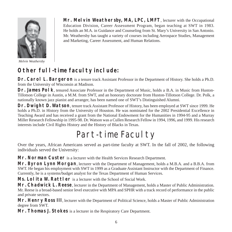

*Melvin Weathersby*

**Mr. Melvin Weathersby, MA, LPC, LMFT**, lecturer with the Occupational Education Division, Career Assessment Program, began teaching at SWT in 1983. He holds an M.A. in Guidance and Counseling from St. Mary's University in San Antonio. Mr. Weathersby has taught a variety of courses including Aerospace Studies, Management and Marketing, Career Assessment, and Human Relations.

#### **Other full-time faculty include:**

**Dr. Carol L. Bargeron** is a tenure track Assistant Professor in the Department of History. She holds a Ph.D. from the University of Wisconsin at Madison.

Dr. James Polk, tenured Associate Professor in the Department of Music, holds a B.A. in Music from Huston-Tillotson College in Austin, a M.M. from SWT, and an honorary doctorate from Huston-Tillotson College. Dr. Polk, a nationally known jazz pianist and arranger, has been named one of SWT's Distinguished Alumni.

**Dr. Dwight D. Watson**, tenure track Assistant Professor of History, has been employed at SWT since 1999. He holds a Ph.D. in History from the University of Houston. He was nominated for the 2002 Presidential Excellence in Teaching Award and has received a grant from the National Endowment for the Humanities in 1994-95 and a Murray Miller Research Fellowship in 1995-98. Dr. Watson was a Cullen Research Fellow in 1994, 1996, and 1999. His research interests include Civil Rights History and the History of Blacks in Texas.

### Part-time Faculty

Over the years, African Americans served as part-time faculty at SWT. In the fall of 2002, the following individuals served the University:

**Mr. Norman Custer** is a lecturer with the Health Services Research Department.

**Mr. Byron Lynn Morgan**, lecturer with the Department of Management, holds a M.B.A. and a B.B.A. from SWT. He began his employment with SWT in 1999 as a Graduate Assistant Instructor with the Department of Finance. Currently, he is a systems/budget analyst for the Texas Department of Human Services.

**Ms. Lolita W. Rattler** is a lecturer with the School of Social Work.

**Mr. Chadwick L. Reese**, lecturer in the Department of Management, holds a Master of Public Administration. Mr. Reese is a broad-based senior level executive with MPA and SPHR with a track record of performance in the public and private sectors.

**Mr. Henry Ross III**, lecturer with the Department of Political Science, holds a Master of Public Administration degree from SWT.

**Mr. Thomas J. Stokes** is a lecturer in the Respiratory Care Department.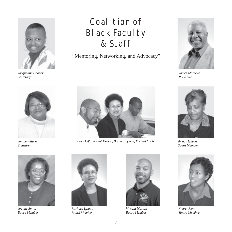

*Jacqueline Cooper Secretary*

### Coalition of Black Faculty & Staff

"Mentoring, Networking, and Advocacy"



*James Mathews President*



*Jonnie Wilson Treasurer*



*Joanne Smith Board Member*



*From Left: Vincent Morton, Barbara Lyman, Michael Corke*



*Barbara Lyman Board Member*



*Vincent Morton Board Member*



*Verna Henson Board Member*



*Sherri Benn Board Member*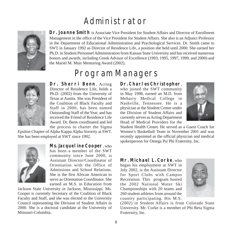### Administrator



**Dr. Joanne Smith** is Associate Vice President for Student Affairs and Director of Enrollment Management in the office of the Vice President for Student Affairs. She also is an Adjunct Professor in the Department of Educational Administration and Psychological Services. Dr. Smith came to SWT in January 1992 as Director of Residence Life, a position she held until 2000. She earned her Ph.D. in Student Personnel Administration from Kansas State University and has received numerous honors and awards, including Greek Advisor of Excellence (1993, 1995, 1997, 1999, and 2000) and the Mariel M. Muir Mentoring Award (2002).

### Program Managers



**Dr. Sherri Benn**, Acting Director of Residence Life, holds a Ph.D. (2002) from the University of Texas at Austin. She was President of the Coalition of Black Faculty and Staff in 2000, has been named Outstanding Staff of the Year, and has received the Friend of Residence Life Award. Dr. Benn coordinated and led the process to charter the Sigma

Epsilon Chapter of Alpha Kappa Alpha Sorority at SWT. She has been employed at SWT since 1992.



**Ms. Jacqueline Cooper**, who has been a member of the SWT community since June 2000, is Assistant Director/Coordinator of Orientation with the Office of Admissions and School Relations. She is the first African American to serve as Orientation Coordinator. She

earned an M.S. in Education from

Jackson State University in Jackson, Mississippi. Ms. Cooper is currently Secretary of the Coalition of Black Faculty and Staff, and she was elected to the University Council representing the Division of Student Affairs in 2000. She is a doctoral candidate at the University of Missouri-Columbia.

#### **Dr. Charles Christopher**,

who joined the SWT community in May 1998, earned an M.D. from Meharry Medical College in Nashville, Tennessee. He is a physician at the Student Center under the Division of Student Affairs and currently serves as Acting Department Head of Medical Providers for the



Student Health Center. He served as a Guest Coach for Women's Basketball Team in November 2001 and was recently appointed as the official physician and medical spokesperson for Omega Psi Phi Fraternity, Inc.

**Mr. Michael L. Corke**, who began his employment at SWT in July 2002, is the Assistant Director for Sport Clubs with Campus Recreation. This program hosted the 2002 National Water Ski Championships with 20 teams and 260 student athletes from around the country participating. His M.S.



(2002) in Student Affairs is from Colorado State University. Mr. Corke is a member of Phi Beta Sigma Fraternity, Inc.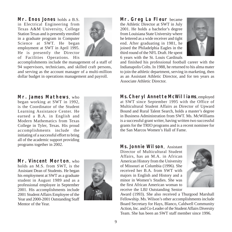**Mr. Enos Jones** holds a B.S. in Electrical Engineering from Texas A&M University, College Station Texas and is presently enrolled in a graduate program in Computer Science at SWT. He began employment at SWT in April 1995. He is presently the Director of Facilities Operations. His



accomplishments include the management of a staff of 94 supervisors, technicians, and skilled craft persons, and serving as the account manager of a multi-million dollar budget in operations management and payroll.

**Mr. James Mathews**, who began working at SWT in 1992, is the Coordinator of the Student Learning Assistance Center. He earned a B.A. in English and Modern Mathematics from Texas College in Tyler, Texas. His proud accomplishments include the initiating of a successful effort to bring all of the academic support providing programs together in 2002.



**Mr. Vincent Morton**, who holds an M.S. from SWT, is the Assistant Dean of Students. He began his employment at SWT as a graduate student in August 1989 and as a professional employee in September 2001. His accomplishments include 2001 Student Affairs Employee of the Year and 2000-2001 Outstanding Staff Mentor of the Year.



**Mr. Greg La Fleur** became the Athletic Director at SWT in July 2001. He holds a bachelor's degree from Louisiana State University where he lettered as a wide receiver and tight end. After graduating in 1981, he joined the Philadelphia Eagles in the third round of the NFL Draft. He spent 6 years with the St. Louis Cardinals



and finished his professional football career with the Indianapolis Colts. In 1988, he returned to his alma mater to join the athletic department, serving in marketing, then as an Assistant Athletic Director, and for ten years as Associate Athletic Director.

**Ms. Cheryl Annette McWilliams**, employed at SWT since September 1995 with the Office of Multicultural Student Affairs as Director of Upward Bound and Rural Talent Search, holds a master's degree in Business Administration from SWT. Ms. McWilliams is a successful grant writer, having written two successful grants for the TRIO programs and is a recent nominee for the San Marcos Women's Hall of Fame.

**Ms. Jonnie Wilson**, Assistant Director of Multicultural Student Affairs, has an M.A. in African American History from the University of Missouri at Columbia (1996). She received her B.A. from SWT with majors in English and History and a minor in Women's Studies. She was the first African American woman to receive the LBJ Outstanding Senior



Award (1993). She also received a Thurgood Marshall Fellowship. Ms. Wilson's other accomplishments include Board Secretary for Hays, Blanco, Caldwell Community Action, Inc. and Co-Leader of the Student Affairs Diversity Team. She has been an SWT staff member since 1996.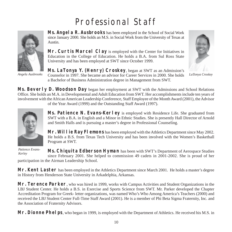### Professional Staff



**Ms. Angela R. Ausbrooks** has been employed in the School of Social Work since January 2000. She holds an M.S. in Social Work from the University of Texas at Austin.

**Mr. Curtis Marcel Clay** is employed with the Center for Initiatives in Education in the College of Education. He holds a B.A. from Sul Ross State University and has been employed at SWT since October 1999.

**Ms. LaTonya Y. (Henry) Croskey**, began at SWT as an Admission's Counselor in 1997. She became an advisor for Career Services in 2000. She holds *Angela Ausbrooks LaTonya Croskey* a Bachelor of Business Administration degree in Management from SWT.



**Ms. Beverly D. Woodson Day** began her employment at SWT with the Admissions and School Relations Office. She holds an M.A. in Developmental and Adult Education from SWT. Her accomplishments include ten years of involvement with the African American Leadership Conference, Staff Employee of the Month Award (2001), the Advisor of the Year Award (1999) and the Outstanding Staff Award (1997).



**Ms. Patience N. Evans-Kerley** is employed with Residence Life. She graduated from SWT with a B.A. in English and a Minor in Ethnic Studies. She is presently Hall Director of Arnold and Smith Halls and is pursuing a master's degree in Professional Counseling.

**Mr. Willie Ray Flemons** has been employed with the Athletics Department since May 2002. He holds a B.S. from Texas Tech University and has been involved with the Women's Basketball Program at SWT.

*Patience Evans-Kerley*

**Ms. Chiquita Edberson Hyman** has been with SWT's Department of Aerospace Studies since February 2001. She helped to commission 49 cadets in 2001-2002. She is proud of her participation in the Airman Leadership School.

Mr. Kent Laster has been employed in the Athletics Department since March 2001. He holds a master's degree in History from Henderson State University in Arkadelphia, Arkansas.

Mr. Terence Parker, who was hired in 1999, works with Campus Activities and Student Organizations in the LBJ Student Center. He holds a B.S. in Exercise and Sports Science from SWT. Mr. Parker developed the Chapter Accreditation Program for Greek- letter organizations, was named Who's Who Among America's Teachers (2000) and received the LBJ Student Center Full-Time Staff Award (2001). He is a member of Phi Beta Sigma Fraternity, Inc. and the Association of Fraternity Advisors.

**Mr. Dionne Phelps**, who began in 1999, is employed with the Department of Athletics. He received his M.S. in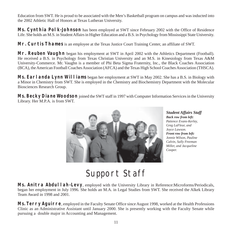Education from SWT. He is proud to be associated with the Men's Basketball program on campus and was inducted into the 2002 Athletic Hall of Honors at Texas Lutheran University.

**Ms. Cynthia Polk-Johnson** has been employed at SWT since February 2002 with the Office of Residence Life. She holds an M.S. in Student Affairs in Higher Education and a B.S. in Psychology from Mississippi State University.

**Mr. Curtis Thames** is an employee at the Texas Justice Court Training Center, an affiliate of SWT.

**Mr. Reuben Vaughn** began his employment at SWT in April 2002 with the Athletics Department (Football). He received a B.S. in Psychology from Texas Christian University and an M.S. in Kinesiology from Texas A&M University-Commerce. Mr. Vaughn is a member of Phi Beta Sigma Fraternity, Inc., the Black Coaches Association (BCA), the American Football Coaches Association (AFCA) and the Texas High School Coaches Association (THSCA).

**Ms. Earlanda Lynn Williams** began her employment at SWT in May 2002. She has a B.S. in Biology with a Minor in Chemistry from SWT. She is employed in the Chemistry and Biochemistry Department with the Molecular Biosciences Research Group.

**Ms. Becky Diane Woodson** joined the SWT staff in 1997 with Computer Information Services in the University Library. Her M.P.A. is from SWT.



*Student Affairs Staff Back row from left: Patience Evans-Kerley, Greg LaFleur, and Joyce Lawson. Front row from left: Jonnie Wilson, Pauline Calvin, Sally Freeman Miller, and Jacqueline Cooper.*

#### Support Staff

Ms. Anitra Abdullah-Levy, employed with the University Library in Reference:Microforms/Periodicals, began her employment in July 1996. She holds an M.A. in Legal Studies from SWT. She received the Alkek Library Team Award in 1998 and 2001.

**Ms. Terry Aguirre**, employed in the Faculty Senate Office since August 1998, worked at the Health Professions Clinic as an Administrative Assistant until January 2000. She is presently working with the Faculty Senate while pursuing a double major in Accounting and Management.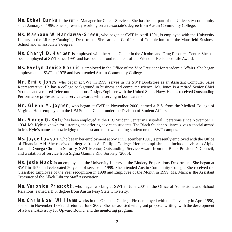**Ms. Ethel Banks** is the Office Manager for Career Services. She has been a part of the University community since January of 1996. She is presently working on an associate's degree from Austin Community College.

**Ms. Mashaun W. Hardaway-Green**, who began at SWT in April 1991, is employed with the University Library in the Library Cataloging Department. She earned a Certificate of Completion from the Mansfield Business School and an associate's degree.

**Ms. Cheryl D. Harper** is employed with the Adept Center in the Alcohol and Drug Resource Center. She has been employed at SWT since 1991 and has been a proud recipient of the Friend of Residence Life Award.

**Ms. Evelyn Denise Harris** is employed in the Office of the Vice President for Academic Affairs. She began employment at SWT in 1978 and has attended Austin Community College.

**Mr. Emile Jones**, who began at SWT in 1999, serves in the SWT Bookstore as an Assistant Computer Sales Representative. He has a college background in business and computer science. Mr. Jones is a retired Senior Chief Yeoman and a retired Telecommunications Design/Engineer with the United States Navy. He has received Outstanding Performance professional and service awards while serving in both careers.

**Mr. Glenn M. Joyner**, who began at SWT in November 2000, earned a B.S. from the Medical College of Virginia. He is employed in the LBJ Student Center under the Division of Student Affairs.

**Mr. Sidney G. Kyle** has been employed at the LBJ Student Center in Custodial Operations since November 1, 1994. Mr. Kyle is known for listening and offering advice to students. The Black Student Alliance gives a special award in Mr. Kyle's name acknowledging the nicest and most welcoming student on the SWT campus.

**Ms. Joyce Lawson**, who began her employment at SWT in December 1991, is presently employed with the Office of Financial Aid. She received a degree from St. Philip's College. Her accomplishments include advisor to Alpha Lambda Omega Christian Sorority, SWT Mentor, Outstanding Service Award from the Black President's Council, and a citation of service from Sigma Gamma Rho Sorority (2000).

**Ms. Josie Mack** is an employee at the University Library in the Bindery Preparations Department. She began at SWT in 1979 and celebrated 20 years of service in 1999. She attended Austin Community College. She received the Classified Employee of the Year recognition in 1998 and Employee of the Month in 1999. Ms. Mack is the Assistant Treasurer of the Alkek Library Staff Association.

**Ms. Veronica Prescott**, who began working at SWT in June 2001 in the Office of Admissions and School Relations, earned a B.S. degree from Austin Peay State University.

**Ms. Chris Noel Williams** works in the Graduate College. First employed with the University in April 1990, she left in November 1995 and returned June 2002. She has assisted with grant proposal writing, with the development of a Parent Advisory for Upward Bound, and the mentoring program.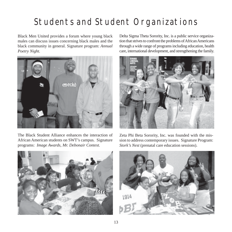### Students and Student Organizations

Black Men United provides a forum where young black males can discuss issues concerning black males and the black community in general. Signature program: *Annual Poetry Night.*



The Black Student Alliance enhances the interaction of African American students on SWT's campus. Signature programs: *Image Awards, Mr. Debonair Contest.*

Delta Sigma Theta Sorority, Inc. is a public service organization that strives to confront the problems of African Americans through a wide range of programs including education, health care, international development, and strengthening the family.



Zeta Phi Beta Sorority, Inc. was founded with the mission to address contemporary issues. Signature Program: *Stork's Nest* (prenatal care education sessions).



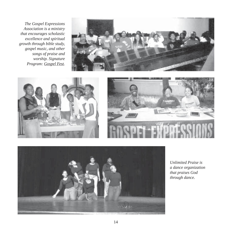*The Gospel Expressions Association is a ministry that encourages scholastic excellence and spiritual growth through bible study, gospel music, and other songs of praise and worship. Signature Program: Gospel Fest.*









*Unlimited Praise is a dance organization that praises God through dance.*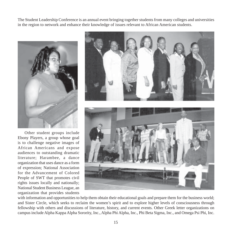The Student Leadership Conference is an annual event bringing together students from many colleges and universities in the region to network and enhance their knowledge of issues relevant to African American students.



Other student groups include Ebony Players, a group whose goal is to challenge negative images of African Americans and expose audiences to outstanding dramatic literature; Harambee, a dance organization that uses dance as a form of expression; National Association for the Advancement of Colored People of SWT that promotes civil rights issues locally and nationally; National Student Business League, an organization that provides students



with information and opportunities to help them obtain their educational goals and prepare them for the business world; and Sister Circle, which seeks to reclaim the women's spirit and to explore higher levels of consciousness through fellowship with others and discussions of literature, history, and current events. Other Greek letter organizations on campus include Alpha Kappa Alpha Sorority, Inc., Alpha Phi Alpha, Inc., Phi Beta Sigma, Inc., and Omega Psi Phi, Inc.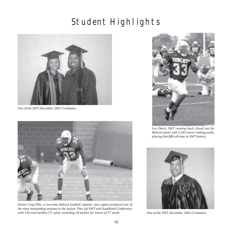### Student Highlights



*Two of the SWT December 2002 Graduates.*



*Senior Greg Pitts, a two-time Bobcal football captain, once again produced one of the most outstanding seasons in the nation. Pitts led SWT and Southland Conference with 136 total tackles (71 solo), including 20 tackles for losses of 57 yards.*



*Lee Davis, SWT running back closed out his Bobcat career with 2,545 career rushing yards, placing him fifth all-time in SWT history.*



*One of the SWT December 2002 Graduates.*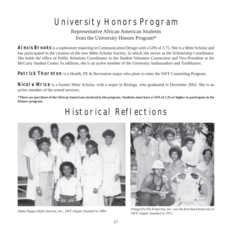### University Honors Program

Representative African American Students from the University Honors Program\*

**Alexis Brooks** is a sophomore majoring in Communication Design with a GPA of 3.75. She is a Mitte Scholar and has participated in the creation of the new Mitte Scholar Society, in which she serves as the Scholarship Coordinator. She holds the office of Public Relations Coordinator in the Student Volunteer Connection and Vice-President at the McCarty Student Center. In addition, she is an active member of the University Ambassadors and Trailblazers.

**Patrick Thornton** is a Health, PE & Recreation major who plans to enter the SWT Counseling Program.

**Nicole Wrice** is a former Mitte Scholar, with a major in Biology, who graduated in December 2002. She is an active member of the armed services.

**\*These are just three of the African Americans involved in the program. Students must have a GPA of 3.25 or higher to participate in the Honors program.**

#### Historical Reflections





*Alpha Kappa Alpha Sorority, Inc., SWT chapter founded in 1984. Omega Psi Phi Fraternity, Inc. was the first black fraternity at SWT, chapter founded in 1972.*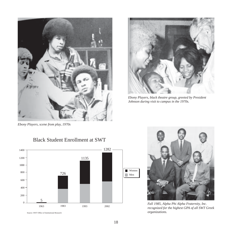

*Ebony Players, black theatre group, greeted by President Johnson during visit to campus in the 1970s.*

*Ebony Players, scene from play, 1970s*

#### 0 200 400 600 800 1000 1200 1400 5 726 1135 1282 1963 1983 1993 2002 Women ■ Men



Source: SWT Office of Institutional Research



*Fall 1985, Alpha Phi Alpha Fraternity, Inc. recognized for the highest GPA of all SWT Greek organizations.*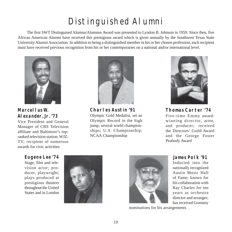### Distinguished Alumni

The first SWT Distinguised Alumna/Alumnus Award was presented to Lyndon B. Johnson in 1959. Since then, five African American Alumni have received this prestigious award which is given annually by the Southwest Texas State University Alumni Association. In addition to being a distinguished member in his or her chosen profession, each recipient must have received previous recognition from his or her contemporaries on a national and/or international level.



**Marcellus W. Alexander, Jr. '73**

Vice President and General Manager of CBS Television affiliate and Baltimore's topranked television station; WJZ-TV; recipient of numerous awards for civic activities



**Charles Austin '91** Olympic Gold Medalist, set an Olympic Record in the high jump; several world championships; U.S. Championship; NCAA Championship



**Thomas Carter '74** Five-time Emmy awardwinning director, actor, and producer; received the Directors' Guild Award and the George Foster Peabody Award

**Eugene Lee '74**

Stage, film and television actor; producer, playwright; plays produced at prestigious theaters throughout the United States and in London





**James Polk '91**

Inducted into the nationally recognized Austin Music Hall of Fame; known for his collaboration with Ray Charles for ten years as orchestra director and arranger; has received Grammy

nominations for his arrangements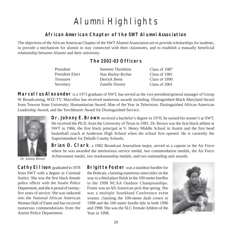### Alumni Highlights

#### **African American Chapter of the SWT Alumni Association**

The objectives of the African American Chapter of the SWT Alumni Association are to provide scholarships for students, to provide a mechanism for alumni to stay connected with their classmates, and to establish a mutually beneficial relationship between Alumni and their university.

#### **The 2002-03 Officers**

| President       | <b>Stennett Thomkins</b> | Class of 1987 |
|-----------------|--------------------------|---------------|
| President Elect | Nan Burley-Richie        | Class of 1981 |
| Treasurer       | Derrick Benn             | Class of 1990 |
| Secretary       | <b>Zanelle Dorsey</b>    | Class of 2001 |

**Marcellus Alexander** is a 1973 graduate of SWT, has served as the vice president/general manager of Group W Broadcasting, WJZ-TV. Marcellus has received numerous awards including: Distinguished Black Maryland Award from Towson State University; Humanitarian Award; Man of the Year in Television; Distinguished African American Leadership Award; and the Torchbearer Award for Distinguished Service.



**Dr. Johnny E. Brown** received a bachelor's degree in 1970; he earned his master's at SWT. He received the Ph.D. from the University of Texas in 1991. Dr. Brown was the first black athlete at SWT in 1966, the first black principal at V. Henry Middle School in Austin and the first head basketball coach at Anderson High School when the school first opened. He is currently the Superintendent for Dekalb County Schools.

**Brian O. Clark**, a 1982 Broadcast Journalism major, served as a captain in the Air Force where he was awarded the meritorious service medal, two commendation medals, the Air Force Achievement medal, two marksmanship medals, and two outstanding unit awards.

*Dr. Johnny Brown*

**Cathy Ellison** graduated in 1978 from SWT with a degree in Criminal Justice. She was the first black female police officer with the Austin Police Department, and she is proud of twentyfive years of service. She was inducted into the National African American Women Hall of Fame and has received numerous commendations from the Austin Police Department.

**Brigitte Foster** was a standout hurdler for the Bobcats, claiming numerous meet titles on the way to a third place finish in the 100-meter hurdles in the 1998 NCAA Outdoor Championships. Foster was an All-American pick that spring. She was a multiple Southland Conference event winner, claiming the 100-meter dash crown in 1998 and the 100 meter hurdle title in both 1996 and 1998. She was the SLC Female Athlete of the Year in 1998.

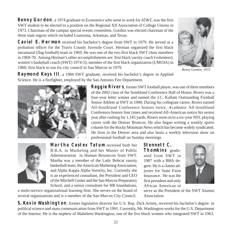**Benny Gordon**, a 1974 graduate in Economics who went to work for AT&T, was the first SWT student to be elected to a position on the Regional XII Association of College Unions in 1973. Chairman of the campus special events committee, Gordon was elected chairman of the three state region which included Louisiana, Arkansas, and Texas.

**Caviel E. Herman** received his bachelor's degree from SWT in 1979. He served as a probation officer for the Travis County Juvenile Court. Herman organized the first black intramural (flag football) team in 1969. He was one of the two first black SWT choir members in 1969-70. Among Herman's other accomplishments are: first black varsity coach (volunteer), women's baskeball coach (SWT) 1974-5); member of the first black organization (UMOJA) in 1969; first black to run for city council in San Marcos in 1979.

**Raymond Keys III**, a 1984 SWT graduate, received his bachelor's degree in Applied

Science. He is a firefighter, employed by the San Antonio Fire Department.

**Reggie Rivers**, former SWT football player, was one of three members of the 2002 class of the Southland Conference Hall of Honor. Rivers was a four-year letter winner and named the J.C. Kallam Outstanding Football Senior Athlete at SWT in 1990. During his collegiate career, Rivers earned All-Southland Conference honors twice, Academic All-Southland Conference honors four times and received All-American notice his senior year after rushing for 1,145 yards. Rivers went on to a six-year NFL playing career with the Denver Broncos. He also began writing a weekly sports column for the Rocky Mountain News which has become widely syndicated. He lives in the Denver area and also hosts a weekly television show on professional football on Sunday mornings.

**Thomkins** graduated from SWT in **Stennett C.**

1987 with a BBA degree. He is a claims adjuster for State Farm Insurance. He was the first president and only

serve as the President of the SWT Alumni Association.

**S. Kevin Washington**, former legislative director for U.S. Rep. Dick Armey, received his bachelor's degree in political science and mass communication from SWT in 1991. Currently, Mr. Washington works for the U.S. Department of the Interior. He is the nephew of Mabeleen Washington, one of the five black women who integrated SWT in 1963.

**Martha Castex Tatum** received both her B.B.A. in Marketing and her Master of Public Administration in Human Resources from SWT. Martha was a member of the Lady Bobcat varsity basketball team, the American Marketing Association, and Alpha Kappa Alpha Sorority, Inc. Currently she is an experienced consultant, the President and CEO of the Mitchell Center and the San Marcos Preparatory School, and a senior consultant for HR foundations,

a multi-service organizational learning firm. She serves on the board of several organizations and is a member of the San Marcos City Council.

African American to



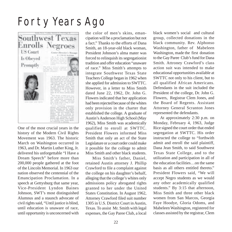## Forty Years Ago



One of the most crucial years in the history of the Modern Civil Rights Movement was 1963. The historic March on Washington occurred in 1963, and Dr. Martin Luther King, Jr. delivered his unforgettable "I Have a Dream Speech" before more than 200,000 people gathered at the foot of the Lincoln Memorial. In 1963 our nation observed the centennial of the Emancipation Proclamation. In a speech at Gettysburg that same year, Vice-President Lyndon Baines Johnson, SWT's most distinguished Alumnus and a staunch advocate of civil rights said, "Until justice is blind, until education is unaware of race, until opportunity is unconcerned with

the color of men's skins, emancipation will be a proclamation but not a fact." Thanks to the efforts of Dana Smith, an 18-year-old black woman, President Johnson's alma mater was forced to relinquish its segregationist tradition and offer education "unaware of race." Miss Smith's attempts to integrate Southwest Texas State Teachers College began in 1962 when she applied for admission to SWTTC. However, in a letter to Miss Smith dated June 22, 1962, Dr. John G. Flowers indicated that her application had been rejected because of the whites only provision in the charter that established the college. A graduate of Austin's Anderson High School (May 1962), Miss Smith was academically qualified to enroll at SWTTC. President Flowers informed Miss Smith that only an act of the State Legislature or a court order could make it possible for the college to admit Miss Smith and other black students.

Miss Smith's father, Daniel, retained Austin attorney J. Phillip Crawford to file a complaint against the college on his daughter's behalf, alleging that the college's whites only admissions policy abrogated rights granted to her under the United States Constitution. In August 1962, Attorney Crawford filed suit number 1305 in U.S. District Court in Austin, Texas. To assist Mr. Smith with legal expenses, the Gay Paree Club, a local

black women's social and cultural group, collected donations in the black community. Rev. Alphonso Washington, father of Mabeleen Washington, made the first donation to the Gay Paree Club's fund for Dana Smith. Attroney Crawford's class action suit was intended to make educational opportunities available at SWTTC not only to his client, but to all qualified African Americans. Defendants in the suit included the President of the college, Dr. John G. Flowers, Registrar Clem Jones, and the Board of Regents. Assistant Attorney General Scranton Jones represented the defendants.

At approximately 2:30 p.m. on Monday, February 4, 1963, Judge Rice signed the court order that ended segregation at SWTTC. His order instructed the college to "forthwith admit and enroll the said plaintiff, Dana Jean Smith, to said Southwest Texas State College, and to the utilization and participation in all of the education facilities…on the same basis as all others entitled thereto." President Flowers said, "We will accept Negro students as we would any other academically qualified students." By 3:15 that afternoon, Miss Smith and three other black women from San Marcos, Georgia Faye Hoodye, Gloria Odoms, and Mabeleen Washington, registered for classes assisted by the registrar, Clem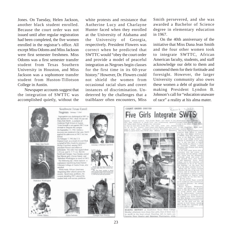Jones. On Tuesday, Helen Jackson, another black student enrolled. Because the court order was not issued until after regular registration had been completed, the five women enrolled in the registrar's office. All except Miss Odoms and Miss Jackson were first semester freshmen. Miss Odoms was a first semester transfer student from Texas Southern University in Houston, and Miss Jackson was a sophomore transfer student from Huston-Tillotson College in Austin.

Newspaper accounts suggest that the integration of SWTTC was accomplished quietly, without the

white protests and resistance that Autherine Lucy and Charlayne Hunter faced when they enrolled at the University of Alabama and the University of Georgia, respectively. President Flowers was correct when he predicted that SWTTC would "obey the court order and provide a model of peaceful integration as Negroes begin classes for the first time in its 60-year history." However, Dr. Flowers could not shield the women from occasional racial slurs and covert instances of discrimination. Undeterred by the challenges that a trailblazer often encounters, Miss

Smith persevered, and she was awarded a Bachelor of Science degree in elementary education in 1967.

On the 40th anniversary of the initiative that Miss Dana Jean Smith and the four other women took to integrate SWTTC, African American faculty, students, and staff acknowledge our debt to them and commend them for their fortitude and foresight. However, the larger University community also owes these women a debt of gratitude for making President Lyndon B. Johnson's call for "education unaware of race" a reality at his alma mater.